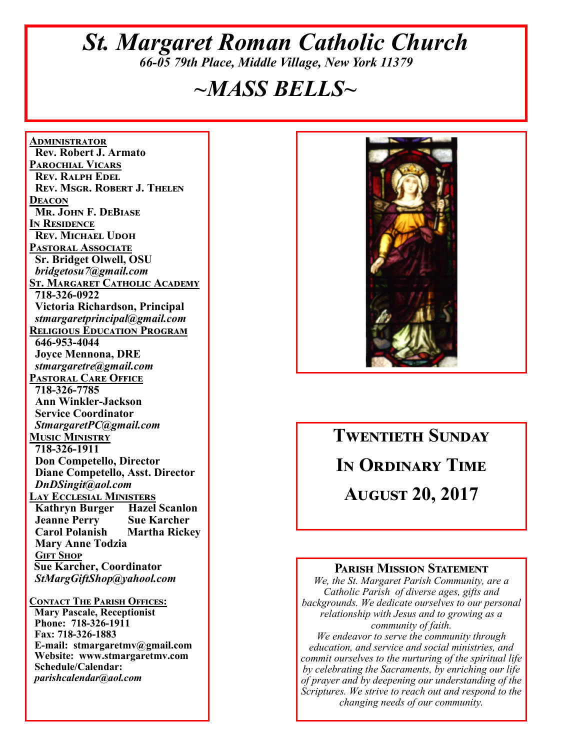## *St. Margaret Roman Catholic Church 66-05 79th Place, Middle Village, New York 11379*

## *~MASS BELLS~*

**<u>ADMINISTRATOR</u> Rev. Robert J. Armato PAROCHIAL VICARS REV. RALPH EDEL REV. MSGR. ROBERT J. THELEN DEACON Mr. John F. DeBiase I**N RESIDENCE **REV. MICHAEL UDOH PASTORAL ASSOCIATE Sr. Bridget Olwell, OSU**   *bridgetosu7@gmail.com*  <u>St. Margaret Catholic Academy</u>  **718-326-0922 Victoria Richardson, Principal**   *stmargaretprincipal@gmail.com*  **RELIGIOUS EDUCATION PROGRAM 646-953-4044 Joyce Mennona, DRE** *stmargaretre@gmail.com*  **PASTORAL CARE OFFICE 718-326-7785 Ann Winkler-Jackson Service Coordinator** *StmargaretPC@gmail.com*  **MUSIC MINISTRY 718-326-1911 Don Competello, Director Diane Competello, Asst. Director** *DnDSingit@aol.com*  <u>Lay Ecclesial Ministers</u><br>| Kathryn Burger | Hazel Scanlon **Kathryn Burger Jeanne Perry Sue Karcher<br>
Carol Polanish Martha Rickey Carol Polanish Mary Anne Todzia GIFT SHOP Sue Karcher, Coordinator** *StMargGiftShop@yahool.com*  **CONTACT THE PARISH OFFICES:** 

 **Mary Pascale, Receptionist Phone: 718-326-1911 Fax: 718-326-1883 E-mail: stmargaretmv@gmail.com Website: www.stmargaretmv.com Schedule/Calendar:** *parishcalendar@aol.com* 



# **TWENTIETH SUNDAY IN ORDINARY TIME AUGUST 20, 2017**

#### **PARISH MISSION STATEMENT**

*We, the St. Margaret Parish Community, are a Catholic Parish of diverse ages, gifts and backgrounds. We dedicate ourselves to our personal relationship with Jesus and to growing as a community of faith. We endeavor to serve the community through education, and service and social ministries, and commit ourselves to the nurturing of the spiritual life by celebrating the Sacraments, by enriching our life* 

*of prayer and by deepening our understanding of the Scriptures. We strive to reach out and respond to the changing needs of our community.*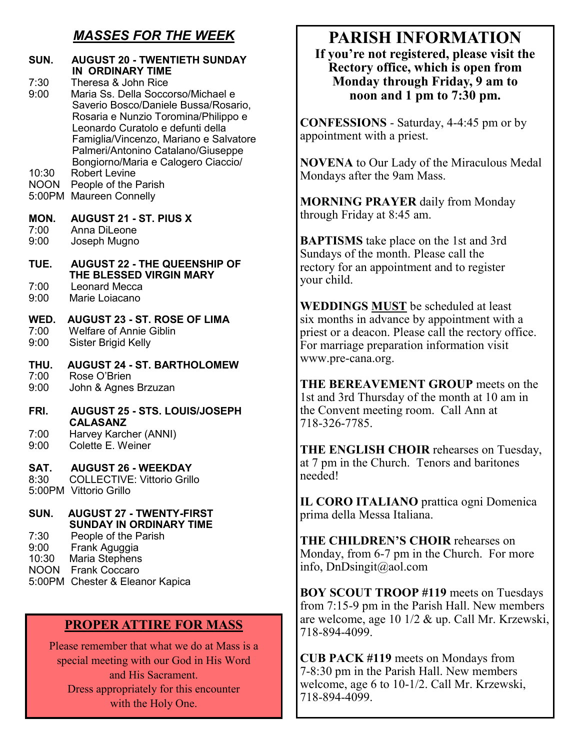## *MASSES FOR THE WEEK*

| SUN.<br><b>AUGUST 20 - TWENTIETH SUNDAY</b><br>7:30<br>9:00<br>10:30 | <b>IN ORDINARY TIME</b><br>Theresa & John Rice<br>Maria Ss. Della Soccorso/Michael e<br>Saverio Bosco/Daniele Bussa/Rosario,<br>Rosaria e Nunzio Toromina/Philippo e<br>Leonardo Curatolo e defunti della<br>Famiglia/Vincenzo, Mariano e Salvatore<br>Palmeri/Antonino Catalano/Giuseppe<br>Bongiorno/Maria e Calogero Ciaccio/<br>Robert Levine |
|----------------------------------------------------------------------|---------------------------------------------------------------------------------------------------------------------------------------------------------------------------------------------------------------------------------------------------------------------------------------------------------------------------------------------------|
| <b>NOON</b>                                                          | People of the Parish                                                                                                                                                                                                                                                                                                                              |
| 5:00PM                                                               | <b>Maureen Connelly</b>                                                                                                                                                                                                                                                                                                                           |
| MON.                                                                 | <b>AUGUST 21 - ST. PIUS X</b>                                                                                                                                                                                                                                                                                                                     |
| 7:00                                                                 | Anna DiLeone                                                                                                                                                                                                                                                                                                                                      |
| 9:00                                                                 | Joseph Mugno                                                                                                                                                                                                                                                                                                                                      |
| TUE.                                                                 | <b>AUGUST 22 - THE QUEENSHIP OF</b><br>THE BLESSED VIRGIN MARY                                                                                                                                                                                                                                                                                    |
| 7:00                                                                 | <b>Leonard Mecca</b>                                                                                                                                                                                                                                                                                                                              |
| 9:00                                                                 | Marie Loiacano                                                                                                                                                                                                                                                                                                                                    |
| WED.                                                                 | <b>AUGUST 23 - ST. ROSE OF LIMA</b>                                                                                                                                                                                                                                                                                                               |
| 7:00                                                                 | <b>Welfare of Annie Giblin</b>                                                                                                                                                                                                                                                                                                                    |
| 9:00                                                                 | Sister Brigid Kelly                                                                                                                                                                                                                                                                                                                               |
| THU.                                                                 | <b>AUGUST 24 - ST. BARTHOLOMEW</b>                                                                                                                                                                                                                                                                                                                |
| 7:00                                                                 | Rose O'Brien                                                                                                                                                                                                                                                                                                                                      |
| 9:00                                                                 | John & Agnes Brzuzan                                                                                                                                                                                                                                                                                                                              |
| FRI.<br>7:00<br>9:00                                                 | <b>AUGUST 25 - STS. LOUIS/JOSEPH</b><br><b>CALASANZ</b><br>Harvey Karcher (ANNI)<br>Colette E. Weiner                                                                                                                                                                                                                                             |
| SAT.<br>8:30<br>5:00PM Vittorio Grillo                               | <b>AUGUST 26 - WEEKDAY</b><br><b>COLLECTIVE: Vittorio Grillo</b>                                                                                                                                                                                                                                                                                  |
| SUN.<br>7:30<br>9:00<br>10:30                                        | <b>AUGUST 27 - TWENTY-FIRST</b><br><b>SUNDAY IN ORDINARY TIME</b><br>People of the Parish<br>Frank Aguggia<br>Maria Stephens<br><b>NOON</b> Frank Coccaro<br>5:00PM Chester & Eleanor Kapica                                                                                                                                                      |

#### **PROPER ATTIRE FOR MASS**

Please remember that what we do at Mass is a special meeting with our God in His Word and His Sacrament. Dress appropriately for this encounter with the Holy One.

## **PARISH INFORMATION**

**If you're not registered, please visit the Rectory office, which is open from Monday through Friday, 9 am to noon and 1 pm to 7:30 pm.** 

**CONFESSIONS** - Saturday, 4-4:45 pm or by appointment with a priest.

**NOVENA** to Our Lady of the Miraculous Medal Mondays after the 9am Mass.

**MORNING PRAYER** daily from Monday through Friday at 8:45 am.

**BAPTISMS** take place on the 1st and 3rd Sundays of the month. Please call the rectory for an appointment and to register your child.

**WEDDINGS MUST** be scheduled at least six months in advance by appointment with a priest or a deacon. Please call the rectory office. For marriage preparation information visit www.pre-cana.org.

**THE BEREAVEMENT GROUP** meets on the 1st and 3rd Thursday of the month at 10 am in the Convent meeting room. Call Ann at 718-326-7785.

**THE ENGLISH CHOIR** rehearses on Tuesday, at 7 pm in the Church. Tenors and baritones needed!

**IL CORO ITALIANO** prattica ogni Domenica prima della Messa Italiana.

**THE CHILDREN'S CHOIR** rehearses on Monday, from 6-7 pm in the Church. For more info, DnDsingit@aol.com

**BOY SCOUT TROOP #119** meets on Tuesdays from 7:15-9 pm in the Parish Hall. New members are welcome, age 10 1/2 & up. Call Mr. Krzewski, 718-894-4099.

**CUB PACK #119** meets on Mondays from 7-8:30 pm in the Parish Hall. New members welcome, age 6 to 10-1/2. Call Mr. Krzewski, 718-894-4099.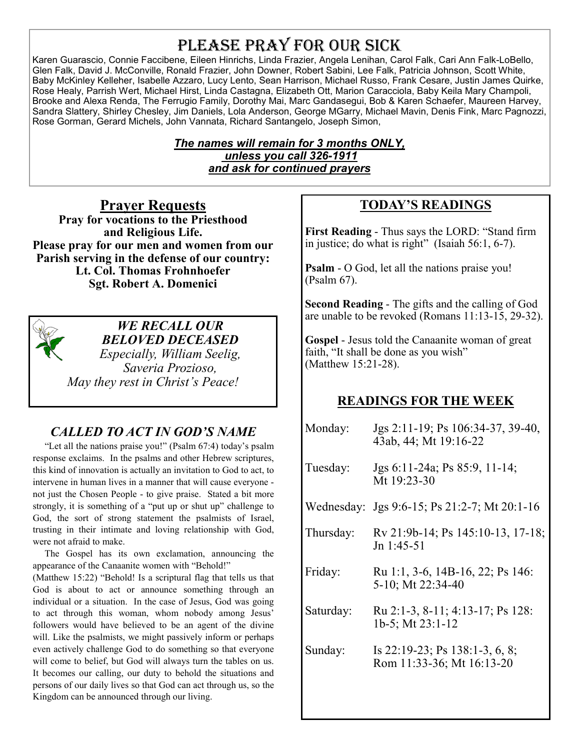## PLEASE PRAY FOR OUR SICK

Karen Guarascio, Connie Faccibene, Eileen Hinrichs, Linda Frazier, Angela Lenihan, Carol Falk, Cari Ann Falk-LoBello, Glen Falk, David J. McConville, Ronald Frazier, John Downer, Robert Sabini, Lee Falk, Patricia Johnson, Scott White, Baby McKinley Kelleher, Isabelle Azzaro, Lucy Lento, Sean Harrison, Michael Russo, Frank Cesare, Justin James Quirke, Rose Healy, Parrish Wert, Michael Hirst, Linda Castagna, Elizabeth Ott, Marion Caracciola, Baby Keila Mary Champoli, Brooke and Alexa Renda, The Ferrugio Family, Dorothy Mai, Marc Gandasegui, Bob & Karen Schaefer, Maureen Harvey, Sandra Slattery, Shirley Chesley, Jim Daniels, Lola Anderson, George MGarry, Michael Mavin, Denis Fink, Marc Pagnozzi, Rose Gorman, Gerard Michels, John Vannata, Richard Santangelo, Joseph Simon,

#### *The names will remain for 3 months ONLY, unless you call 326-1911 and ask for continued prayers*

**Prayer Requests Pray for vocations to the Priesthood and Religious Life. Please pray for our men and women from our Parish serving in the defense of our country: Lt. Col. Thomas Frohnhoefer Sgt. Robert A. Domenici** 



*WE RECALL OUR BELOVED DECEASED Especially, William Seelig, Saveria Prozioso, May they rest in Christ's Peace!* 

## *CALLED TO ACT IN GOD'S NAME*

 "Let all the nations praise you!" (Psalm 67:4) today's psalm response exclaims. In the psalms and other Hebrew scriptures, this kind of innovation is actually an invitation to God to act, to intervene in human lives in a manner that will cause everyone not just the Chosen People - to give praise. Stated a bit more strongly, it is something of a "put up or shut up" challenge to God, the sort of strong statement the psalmists of Israel, trusting in their intimate and loving relationship with God, were not afraid to make.

 The Gospel has its own exclamation, announcing the appearance of the Canaanite women with "Behold!"

(Matthew 15:22) "Behold! Is a scriptural flag that tells us that God is about to act or announce something through an individual or a situation. In the case of Jesus, God was going to act through this woman, whom nobody among Jesus' followers would have believed to be an agent of the divine will. Like the psalmists, we might passively inform or perhaps even actively challenge God to do something so that everyone will come to belief, but God will always turn the tables on us. It becomes our calling, our duty to behold the situations and persons of our daily lives so that God can act through us, so the Kingdom can be announced through our living.

### **TODAY'S READINGS**

**First Reading** - Thus says the LORD: "Stand firm in justice; do what is right" (Isaiah 56:1, 6-7).

**Psalm** - O God, let all the nations praise you! (Psalm 67).

**Second Reading** - The gifts and the calling of God are unable to be revoked (Romans 11:13-15, 29-32).

**Gospel** - Jesus told the Canaanite woman of great faith, "It shall be done as you wish" (Matthew 15:21-28).

#### **READINGS FOR THE WEEK**

| Monday:   | Jgs 2:11-19; Ps 106:34-37, 39-40,<br>43ab, 44; Mt 19:16-22  |  |
|-----------|-------------------------------------------------------------|--|
| Tuesday:  | Jgs 6:11-24a; Ps 85:9, 11-14;<br>Mt 19:23-30                |  |
|           | Wednesday: Jgs 9:6-15; Ps 21:2-7; Mt 20:1-16                |  |
| Thursday: | Rv 21:9b-14; Ps 145:10-13, 17-18;<br>Jn 1:45-51             |  |
| Friday:   | Ru 1:1, 3-6, 14B-16, 22; Ps 146:<br>5-10; Mt 22:34-40       |  |
| Saturday: | Ru 2:1-3, 8-11; 4:13-17; Ps 128:<br>1b-5; Mt 23:1-12        |  |
| Sunday:   | Is 22:19-23; Ps 138:1-3, 6, 8;<br>Rom 11:33-36; Mt 16:13-20 |  |
|           |                                                             |  |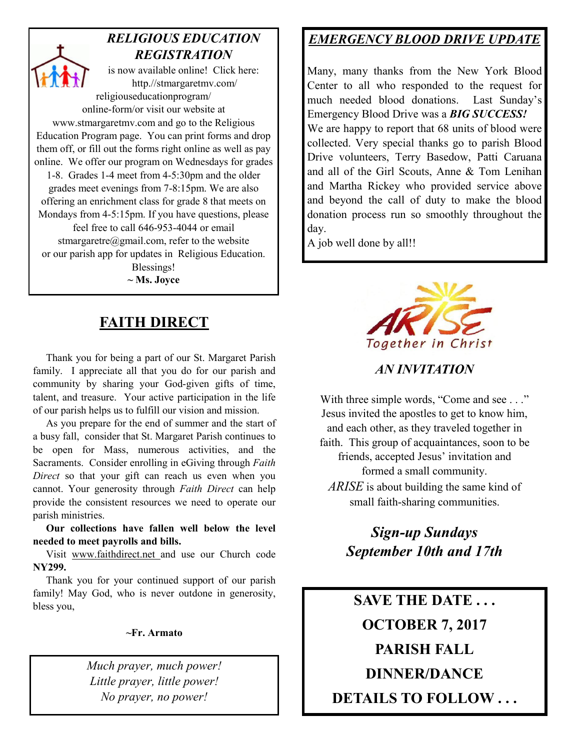## *RELIGIOUS EDUCATION REGISTRATION*

is now available online! Click here: http.//stmargaretmv.com/ religiouseducationprogram/ online-form/or visit our website at www.stmargaretmv.com and go to the Religious Education Program page. You can print forms and drop them off, or fill out the forms right online as well as pay online. We offer our program on Wednesdays for grades 1-8. Grades 1-4 meet from 4-5:30pm and the older grades meet evenings from 7-8:15pm. We are also offering an enrichment class for grade 8 that meets on Mondays from 4-5:15pm. If you have questions, please feel free to call 646-953-4044 or email stmargaretre@gmail.com, refer to the website or our parish app for updates in Religious Education. Blessings!

**~ Ms. Joyce** 

## **FAITH DIRECT**

 Thank you for being a part of our St. Margaret Parish family. I appreciate all that you do for our parish and community by sharing your God-given gifts of time, talent, and treasure. Your active participation in the life of our parish helps us to fulfill our vision and mission.

 As you prepare for the end of summer and the start of a busy fall, consider that St. Margaret Parish continues to be open for Mass, numerous activities, and the Sacraments. Consider enrolling in eGiving through *Faith Direct* so that your gift can reach us even when you cannot. Your generosity through *Faith Direct* can help provide the consistent resources we need to operate our parish ministries.

 **Our collections have fallen well below the level needed to meet payrolls and bills.** 

 Visit www.faithdirect.net and use our Church code **NY299.** 

 Thank you for your continued support of our parish family! May God, who is never outdone in generosity, bless you,

#### **~Fr. Armato**

*Much prayer, much power! Little prayer, little power! No prayer, no power!* 

## *EMERGENCY BLOOD DRIVE UPDATE*

Many, many thanks from the New York Blood Center to all who responded to the request for much needed blood donations. Last Sunday's Emergency Blood Drive was a *BIG SUCCESS!*  We are happy to report that 68 units of blood were collected. Very special thanks go to parish Blood Drive volunteers, Terry Basedow, Patti Caruana and all of the Girl Scouts, Anne & Tom Lenihan and Martha Rickey who provided service above and beyond the call of duty to make the blood donation process run so smoothly throughout the day.

A job well done by all!!



*AN INVITATION* 

With three simple words, "Come and see . . ." Jesus invited the apostles to get to know him, and each other, as they traveled together in faith. This group of acquaintances, soon to be friends, accepted Jesus' invitation and formed a small community. *ARISE* is about building the same kind of small faith-sharing communities.

> *Sign-up Sundays September 10th and 17th*

**SAVE THE DATE . . . OCTOBER 7, 2017 PARISH FALL DINNER/DANCE DETAILS TO FOLLOW . . .**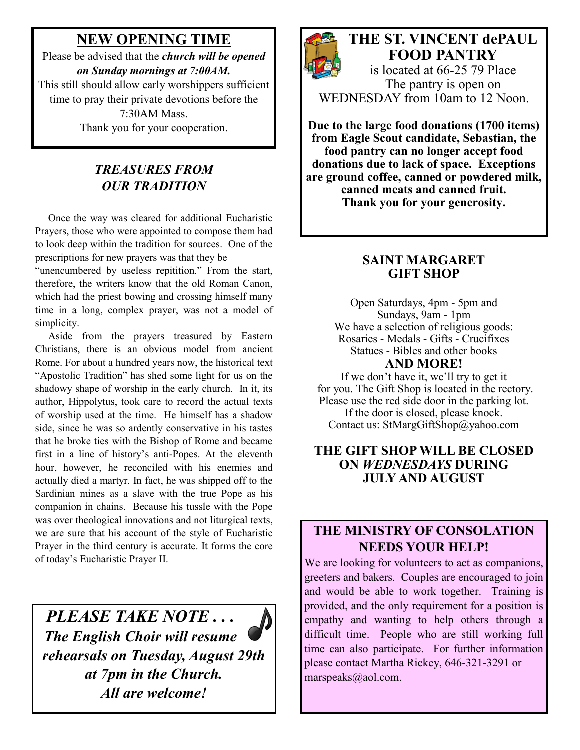## **NEW OPENING TIME**

Please be advised that the *church will be opened on Sunday mornings at 7:00AM.*  This still should allow early worshippers sufficient time to pray their private devotions before the 7:30AM Mass. Thank you for your cooperation.

### *TREASURES FROM OUR TRADITION*

 Once the way was cleared for additional Eucharistic Prayers, those who were appointed to compose them had to look deep within the tradition for sources. One of the prescriptions for new prayers was that they be

"unencumbered by useless repitition." From the start, therefore, the writers know that the old Roman Canon, which had the priest bowing and crossing himself many time in a long, complex prayer, was not a model of simplicity.

 Aside from the prayers treasured by Eastern Christians, there is an obvious model from ancient Rome. For about a hundred years now, the historical text "Apostolic Tradition" has shed some light for us on the shadowy shape of worship in the early church. In it, its author, Hippolytus, took care to record the actual texts of worship used at the time. He himself has a shadow side, since he was so ardently conservative in his tastes that he broke ties with the Bishop of Rome and became first in a line of history's anti-Popes. At the eleventh hour, however, he reconciled with his enemies and actually died a martyr. In fact, he was shipped off to the Sardinian mines as a slave with the true Pope as his companion in chains. Because his tussle with the Pope was over theological innovations and not liturgical texts, we are sure that his account of the style of Eucharistic Prayer in the third century is accurate. It forms the core of today's Eucharistic Prayer II.

*PLEASE TAKE NOTE . . . The English Choir will resume rehearsals on Tuesday, August 29th at 7pm in the Church. All are welcome!* 



## **THE ST. VINCENT dePAUL FOOD PANTRY**

is located at 66-25 79 Place The pantry is open on WEDNESDAY from 10am to 12 Noon.

**Due to the large food donations (1700 items) from Eagle Scout candidate, Sebastian, the food pantry can no longer accept food donations due to lack of space. Exceptions are ground coffee, canned or powdered milk, canned meats and canned fruit. Thank you for your generosity.** 

#### **SAINT MARGARET GIFT SHOP**

Open Saturdays, 4pm - 5pm and Sundays, 9am - 1pm We have a selection of religious goods: Rosaries - Medals - Gifts - Crucifixes Statues - Bibles and other books **AND MORE!** 

If we don't have it, we'll try to get it for you. The Gift Shop is located in the rectory. Please use the red side door in the parking lot.

If the door is closed, please knock. Contact us: StMargGiftShop@yahoo.com

#### **THE GIFT SHOP WILL BE CLOSED ON** *WEDNESDAYS* **DURING JULY AND AUGUST**

#### **THE MINISTRY OF CONSOLATION NEEDS YOUR HELP!**

We are looking for volunteers to act as companions, greeters and bakers. Couples are encouraged to join and would be able to work together. Training is provided, and the only requirement for a position is empathy and wanting to help others through a difficult time. People who are still working full time can also participate. For further information please contact Martha Rickey, 646-321-3291 or marspeaks@aol.com.